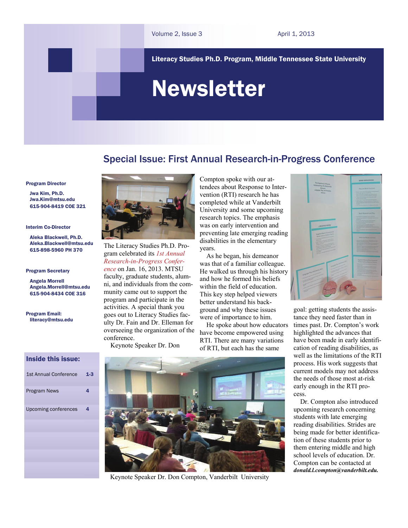Literacy Studies Ph.D. Program, Middle Tennessee State University

# Newsletter

# Special Issue: First Annual Research-in-Progress Conference

Program Director

 Jwa Kim, Ph.D. [Jwa.Kim@mtsu.edu](mailto:pykim@mtsu.edu) 615-904-8419 COE 321

#### Interim Co-Director

 Aleka Blackwell, Ph.D. Aleka.Blackwell@mtsu.edu 615-898-5960 PH 370

#### Program Secretary

 Angela Morrell Angela.Morrell[@mtsu.edu](mailto:pykim@mtsu.edu) 615-904-8434 COE 316

Program Email: literacy@mtsu.edu

# Inside this issue:

| <b>1st Annual Conference</b> | $1-3$ |
|------------------------------|-------|
| <b>Program News</b>          | 4     |
| Upcoming conferences         | 4     |
|                              |       |
|                              |       |
|                              |       |



The Literacy Studies Ph.D. Program celebrated its *1st Annual Research-in-Progress Conference* on Jan. 16, 2013. MTSU faculty, graduate students, alumni, and individuals from the community came out to support the program and participate in the activities. A special thank you goes out to Literacy Studies faculty Dr. Fain and Dr. Elleman for overseeing the organization of the conference.

Keynote Speaker Dr. Don

Compton spoke with our attendees about Response to Intervention (RTI) research he has completed while at Vanderbilt University and some upcoming research topics. The emphasis was on early intervention and preventing late emerging reading disabilities in the elementary years.

 As he began, his demeanor was that of a familiar colleague. He walked us through his history and how he formed his beliefs within the field of education. This key step helped viewers better understand his background and why these issues were of importance to him.

 He spoke about how educators have become empowered using RTI. There are many variations of RTI, but each has the same



goal: getting students the assistance they need faster than in times past. Dr. Compton's work highlighted the advances that have been made in early identification of reading disabilities, as well as the limitations of the RTI process. His work suggests that current models may not address the needs of those most at-risk early enough in the RTI process.

 Dr. Compton also introduced upcoming research concerning students with late emerging reading disabilities. Strides are being made for better identification of these students prior to them entering middle and high school levels of education. Dr. Compton can be contacted at *donald.l.compton@vanderbilt.edu.*



Keynote Speaker Dr. Don Compton, Vanderbilt University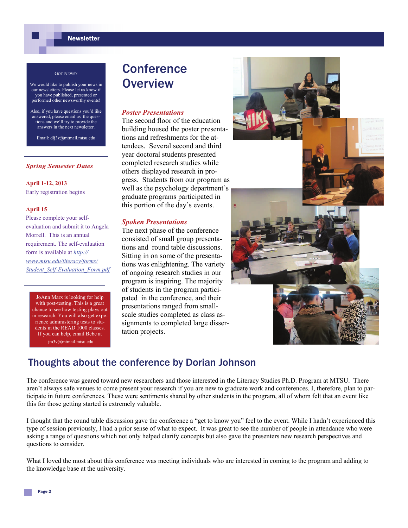# **Newsletter**

#### GOT NEWS?

- We would like to publish your news in our newsletters. Please let us know if you have published, presented or performed other newsworthy events!
- Also, if you have questions you'd like answered, please email us the questions and we'll try to provide the answers in the next newsletter.

Email: dlj3z@mtmail.mtsu.edu

## *Spring Semester Dates*

**April 1-12, 2013** 

Early registration begins

### **April 15**

Please complete your selfevaluation and submit it to Angela Morrell. This is an annual requirement. The self-evaluation form is available at *[http://](http://www.mtsu.edu/literacy/forms/Student_Self-Evaluation_Form.pdf) [www.mtsu.edu/literacy/forms/](http://www.mtsu.edu/literacy/forms/Student_Self-Evaluation_Form.pdf) [Student\\_Self-Evaluation\\_Form.pdf](http://www.mtsu.edu/literacy/forms/Student_Self-Evaluation_Form.pdf)*

JoAnn Marx is looking for help with post-testing. This is a great chance to see how testing plays out in research. You will also get experience administering tests to students in the READ 1000 classes. If you can help, email Bebe at jm3v@mtmail.mtsu.edu

# **Conference Overview**

### *Poster Presentations*

The second floor of the education building housed the poster presentations and refreshments for the attendees. Several second and third year doctoral students presented completed research studies while others displayed research in progress. Students from our program as well as the psychology department's graduate programs participated in this portion of the day's events.

# *Spoken Presentations*

The next phase of the conference consisted of small group presentations and round table discussions. Sitting in on some of the presentations was enlightening. The variety of ongoing research studies in our program is inspiring. The majority of students in the program participated in the conference, and their presentations ranged from smallscale studies completed as class assignments to completed large dissertation projects.



# Thoughts about the conference by Dorian Johnson

The conference was geared toward new researchers and those interested in the Literacy Studies Ph.D. Program at MTSU. There aren't always safe venues to come present your research if you are new to graduate work and conferences. I, therefore, plan to participate in future conferences. These were sentiments shared by other students in the program, all of whom felt that an event like this for those getting started is extremely valuable.

I thought that the round table discussion gave the conference a "get to know you" feel to the event. While I hadn't experienced this type of session previously, I had a prior sense of what to expect. It was great to see the number of people in attendance who were asking a range of questions which not only helped clarify concepts but also gave the presenters new research perspectives and questions to consider.

What I loved the most about this conference was meeting individuals who are interested in coming to the program and adding to the knowledge base at the university.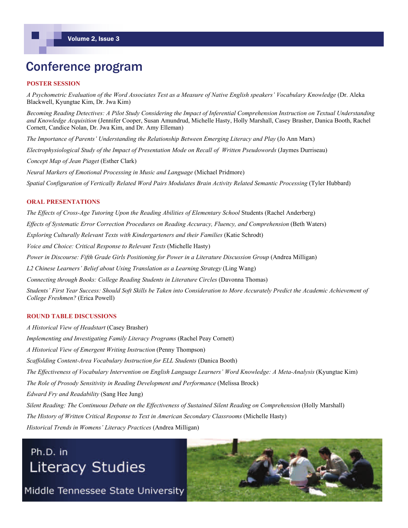# Conference program

# **POSTER SESSION**

*A Psychometric Evaluation of the Word Associates Test as a Measure of Native English speakers' Vocabulary Knowledge* (Dr. Aleka Blackwell, Kyungtae Kim, Dr. Jwa Kim)

*Becoming Reading Detectives: A Pilot Study Considering the Impact of Inferential Comprehension Instruction on Textual Understanding and Knowledge Acquisition* (Jennifer Cooper, Susan Amundrud, Michelle Hasty, Holly Marshall, Casey Brasher, Danica Booth, Rachel Cornett, Candice Nolan, Dr. Jwa Kim, and Dr. Amy Elleman)

*The Importance of Parents' Understanding the Relationship Between Emerging Literacy and Play* (Jo Ann Marx)

*Electrophysiological Study of the Impact of Presentation Mode on Recall of Written Pseudowords* (Jaymes Durriseau)

*Concept Map of Jean Piaget* (Esther Clark)

*Neural Markers of Emotional Processing in Music and Language* (Michael Pridmore) *Spatial Configuration of Vertically Related Word Pairs Modulates Brain Activity Related Semantic Processing* (Tyler Hubbard)

# **ORAL PRESENTATIONS**

*The Effects of Cross-Age Tutoring Upon the Reading Abilities of Elementary School* Students (Rachel Anderberg) *Effects of Systematic Error Correction Procedures on Reading Accuracy, Fluency, and Comprehension* (Beth Waters) *Exploring Culturally Relevant Texts with Kindergarteners and their Families (Katie Schrodt) Voice and Choice: Critical Response to Relevant Texts* (Michelle Hasty) *Power in Discourse: Fifth Grade Girls Positioning for Power in a Literature Discussion Group* (Andrea Milligan) *L2 Chinese Learners' Belief about Using Translation as a Learning Strategy* (Ling Wang) *Connecting through Books: College Reading Students in Literature Circles (Davonna Thomas) Students' First Year Success: Should Soft Skills be Taken into Consideration to More Accurately Predict the Academic Achievement of College Freshmen?* (Erica Powell)

### **ROUND TABLE DISCUSSIONS**

*A Historical View of Headstart* (Casey Brasher) *Implementing and Investigating Family Literacy Programs* (Rachel Peay Cornett) *A Historical View of Emergent Writing Instruction* (Penny Thompson) *Scaffolding Content-Area Vocabulary Instruction for ELL Students (Danica Booth) The Effectiveness of Vocabulary Intervention on English Language Learners' Word Knowledge: A Meta-Analysis* (Kyungtae Kim) *The Role of Prosody Sensitivity in Reading Development and Performance* (Melissa Brock) *Edward Fry and Readability* (Sang Hee Jung) *Silent Reading: The Continuous Debate on the Effectiveness of Sustained Silent Reading on Comprehension* (Holly Marshall) *The History of Written Critical Response to Text in American Secondary Classrooms* (Michelle Hasty) *Historical Trends in Womens' Literacy Practices* (Andrea Milligan)

# Ph.D. in **Literacy Studies**

Middle Tennessee State University